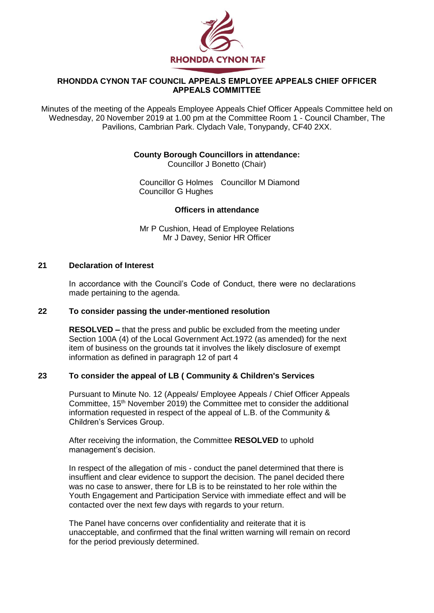

# **RHONDDA CYNON TAF COUNCIL APPEALS EMPLOYEE APPEALS CHIEF OFFICER APPEALS COMMITTEE**

Minutes of the meeting of the Appeals Employee Appeals Chief Officer Appeals Committee held on Wednesday, 20 November 2019 at 1.00 pm at the Committee Room 1 - Council Chamber, The Pavilions, Cambrian Park. Clydach Vale, Tonypandy, CF40 2XX.

### **County Borough Councillors in attendance:**

Councillor J Bonetto (Chair)

Councillor G Holmes Councillor M Diamond Councillor G Hughes

### **Officers in attendance**

Mr P Cushion, Head of Employee Relations Mr J Davey, Senior HR Officer

# **21 Declaration of Interest**

In accordance with the Council's Code of Conduct, there were no declarations made pertaining to the agenda.

#### **22 To consider passing the under-mentioned resolution**

**RESOLVED –** that the press and public be excluded from the meeting under Section 100A (4) of the Local Government Act.1972 (as amended) for the next item of business on the grounds tat it involves the likely disclosure of exempt information as defined in paragraph 12 of part 4

# **23 To consider the appeal of LB ( Community & Children's Services**

Pursuant to Minute No. 12 (Appeals/ Employee Appeals / Chief Officer Appeals Committee, 15<sup>th</sup> November 2019) the Committee met to consider the additional information requested in respect of the appeal of L.B. of the Community & Children's Services Group.

After receiving the information, the Committee **RESOLVED** to uphold management's decision.

In respect of the allegation of mis - conduct the panel determined that there is insuffient and clear evidence to support the decision. The panel decided there was no case to answer, there for LB is to be reinstated to her role within the Youth Engagement and Participation Service with immediate effect and will be contacted over the next few days with regards to your return.

The Panel have concerns over confidentiality and reiterate that it is unacceptable, and confirmed that the final written warning will remain on record for the period previously determined.